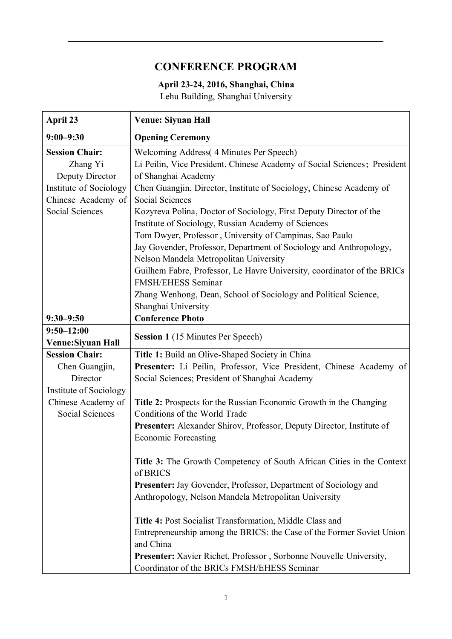## **CONFERENCE PROGRAM**

## **April 23-24, 2016, Shanghai, China**

Lehu Building, Shanghai University

| April 23               | <b>Venue: Siyuan Hall</b>                                                    |
|------------------------|------------------------------------------------------------------------------|
| $9:00 - 9:30$          | <b>Opening Ceremony</b>                                                      |
| <b>Session Chair:</b>  | Welcoming Address (4 Minutes Per Speech)                                     |
| Zhang Yi               | Li Peilin, Vice President, Chinese Academy of Social Sciences; President     |
| Deputy Director        | of Shanghai Academy                                                          |
| Institute of Sociology | Chen Guangjin, Director, Institute of Sociology, Chinese Academy of          |
| Chinese Academy of     | <b>Social Sciences</b>                                                       |
| Social Sciences        | Kozyreva Polina, Doctor of Sociology, First Deputy Director of the           |
|                        | Institute of Sociology, Russian Academy of Sciences                          |
|                        | Tom Dwyer, Professor, University of Campinas, Sao Paulo                      |
|                        | Jay Govender, Professor, Department of Sociology and Anthropology,           |
|                        | Nelson Mandela Metropolitan University                                       |
|                        | Guilhem Fabre, Professor, Le Havre University, coordinator of the BRICs      |
|                        | <b>FMSH/EHESS Seminar</b>                                                    |
|                        | Zhang Wenhong, Dean, School of Sociology and Political Science,              |
|                        | Shanghai University                                                          |
| $9:30 - 9:50$          | <b>Conference Photo</b>                                                      |
| $9:50 - 12:00$         |                                                                              |
| Venue: Siyuan Hall     | <b>Session 1</b> (15 Minutes Per Speech)                                     |
| <b>Session Chair:</b>  | Title 1: Build an Olive-Shaped Society in China                              |
| Chen Guangjin,         | Presenter: Li Peilin, Professor, Vice President, Chinese Academy of          |
| Director               | Social Sciences; President of Shanghai Academy                               |
| Institute of Sociology |                                                                              |
| Chinese Academy of     | Title 2: Prospects for the Russian Economic Growth in the Changing           |
| <b>Social Sciences</b> | Conditions of the World Trade                                                |
|                        | <b>Presenter:</b> Alexander Shirov, Professor, Deputy Director, Institute of |
|                        | <b>Economic Forecasting</b>                                                  |
|                        | Title 3: The Growth Competency of South African Cities in the Context        |
|                        | of BRICS                                                                     |
|                        | Presenter: Jay Govender, Professor, Department of Sociology and              |
|                        | Anthropology, Nelson Mandela Metropolitan University                         |
|                        | Title 4: Post Socialist Transformation, Middle Class and                     |
|                        | Entrepreneurship among the BRICS: the Case of the Former Soviet Union        |
|                        | and China                                                                    |
|                        | Presenter: Xavier Richet, Professor, Sorbonne Nouvelle University,           |
|                        | Coordinator of the BRICs FMSH/EHESS Seminar                                  |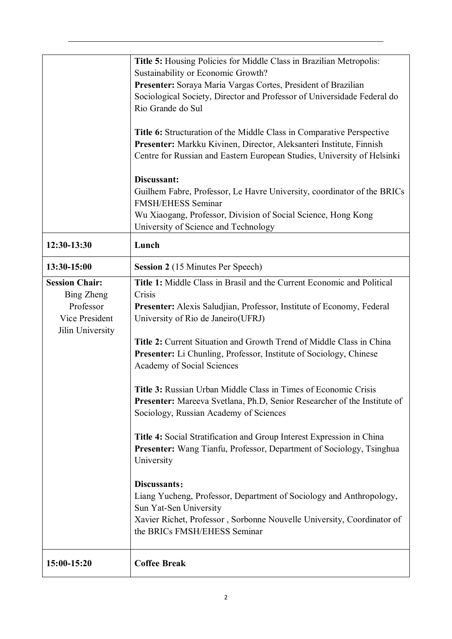|                                                                                               | <b>Title 5:</b> Housing Policies for Middle Class in Brazilian Metropolis:<br>Sustainability or Economic Growth?<br>Presenter: Soraya Maria Vargas Cortes, President of Brazilian<br>Sociological Society, Director and Professor of Universidade Federal do<br>Rio Grande do Sul<br>Title 6: Structuration of the Middle Class in Comparative Perspective                                                                                                    |
|-----------------------------------------------------------------------------------------------|---------------------------------------------------------------------------------------------------------------------------------------------------------------------------------------------------------------------------------------------------------------------------------------------------------------------------------------------------------------------------------------------------------------------------------------------------------------|
|                                                                                               | Presenter: Markku Kivinen, Director, Aleksanteri Institute, Finnish<br>Centre for Russian and Eastern European Studies, University of Helsinki                                                                                                                                                                                                                                                                                                                |
|                                                                                               | Discussant:<br>Guilhem Fabre, Professor, Le Havre University, coordinator of the BRICs<br><b>FMSH/EHESS Seminar</b><br>Wu Xiaogang, Professor, Division of Social Science, Hong Kong<br>University of Science and Technology                                                                                                                                                                                                                                  |
| 12:30-13:30                                                                                   | Lunch                                                                                                                                                                                                                                                                                                                                                                                                                                                         |
| 13:30-15:00                                                                                   | <b>Session 2</b> (15 Minutes Per Speech)                                                                                                                                                                                                                                                                                                                                                                                                                      |
| <b>Session Chair:</b><br><b>Bing Zheng</b><br>Professor<br>Vice President<br>Jilin University | Title 1: Middle Class in Brasil and the Current Economic and Political<br>Crisis<br>Presenter: Alexis Saludjian, Professor, Institute of Economy, Federal<br>University of Rio de Janeiro (UFRJ)<br>Title 2: Current Situation and Growth Trend of Middle Class in China<br><b>Presenter:</b> Li Chunling, Professor, Institute of Sociology, Chinese<br>Academy of Social Sciences<br><b>Title 3:</b> Russian Urban Middle Class in Times of Economic Crisis |
|                                                                                               | Presenter: Mareeva Svetlana, Ph.D, Senior Researcher of the Institute of<br>Sociology, Russian Academy of Sciences<br>Title 4: Social Stratification and Group Interest Expression in China<br>Presenter: Wang Tianfu, Professor, Department of Sociology, Tsinghua                                                                                                                                                                                           |
|                                                                                               | University<br>Discussants:<br>Liang Yucheng, Professor, Department of Sociology and Anthropology,                                                                                                                                                                                                                                                                                                                                                             |
|                                                                                               | Sun Yat-Sen University<br>Xavier Richet, Professor, Sorbonne Nouvelle University, Coordinator of<br>the BRICs FMSH/EHESS Seminar                                                                                                                                                                                                                                                                                                                              |
| 15:00-15:20                                                                                   | <b>Coffee Break</b>                                                                                                                                                                                                                                                                                                                                                                                                                                           |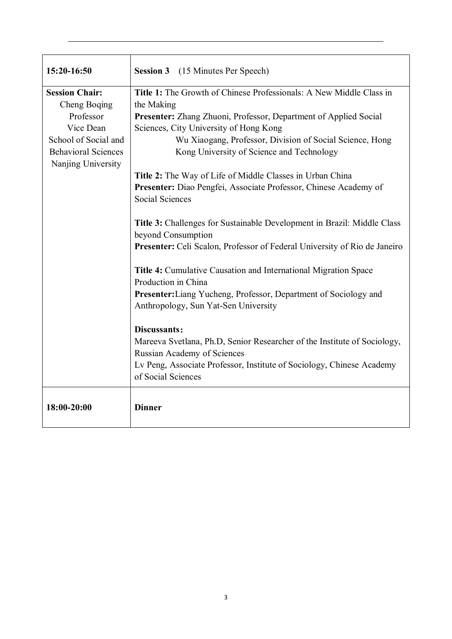| 15:20-16:50                | <b>Session 3</b><br>(15 Minutes Per Speech)                               |
|----------------------------|---------------------------------------------------------------------------|
| <b>Session Chair:</b>      | Title 1: The Growth of Chinese Professionals: A New Middle Class in       |
| Cheng Boqing               | the Making                                                                |
| Professor                  | Presenter: Zhang Zhuoni, Professor, Department of Applied Social          |
| Vice Dean                  | Sciences, City University of Hong Kong                                    |
| School of Social and       | Wu Xiaogang, Professor, Division of Social Science, Hong                  |
| <b>Behavioral Sciences</b> | Kong University of Science and Technology                                 |
| Nanjing University         |                                                                           |
|                            | Title 2: The Way of Life of Middle Classes in Urban China                 |
|                            | Presenter: Diao Pengfei, Associate Professor, Chinese Academy of          |
|                            | Social Sciences                                                           |
|                            | Title 3: Challenges for Sustainable Development in Brazil: Middle Class   |
|                            | beyond Consumption                                                        |
|                            | Presenter: Celi Scalon, Professor of Federal University of Rio de Janeiro |
|                            | Title 4: Cumulative Causation and International Migration Space           |
|                            | Production in China                                                       |
|                            | Presenter: Liang Yucheng, Professor, Department of Sociology and          |
|                            | Anthropology, Sun Yat-Sen University                                      |
|                            | Discussants:                                                              |
|                            | Mareeva Svetlana, Ph.D, Senior Researcher of the Institute of Sociology,  |
|                            | Russian Academy of Sciences                                               |
|                            | Lv Peng, Associate Professor, Institute of Sociology, Chinese Academy     |
|                            | of Social Sciences                                                        |
| 18:00-20:00                | <b>Dinner</b>                                                             |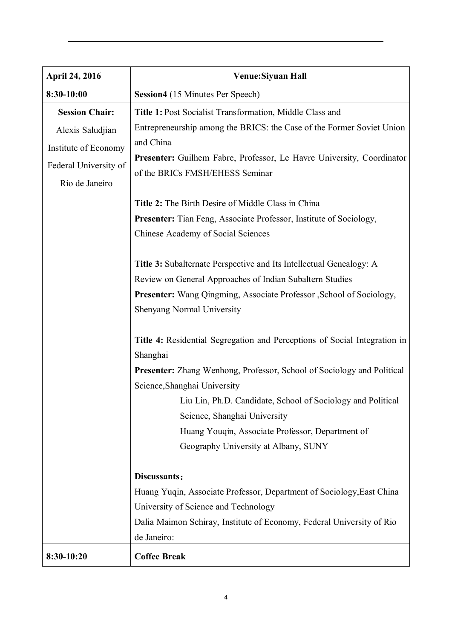| <b>April 24, 2016</b> | Venue: Siyuan Hall                                                            |
|-----------------------|-------------------------------------------------------------------------------|
| 8:30-10:00            | <b>Session4</b> (15 Minutes Per Speech)                                       |
| <b>Session Chair:</b> | Title 1: Post Socialist Transformation, Middle Class and                      |
| Alexis Saludjian      | Entrepreneurship among the BRICS: the Case of the Former Soviet Union         |
| Institute of Economy  | and China                                                                     |
| Federal University of | Presenter: Guilhem Fabre, Professor, Le Havre University, Coordinator         |
|                       | of the BRICs FMSH/EHESS Seminar                                               |
| Rio de Janeiro        |                                                                               |
|                       | Title 2: The Birth Desire of Middle Class in China                            |
|                       | <b>Presenter:</b> Tian Feng, Associate Professor, Institute of Sociology,     |
|                       | Chinese Academy of Social Sciences                                            |
|                       | Title 3: Subalternate Perspective and Its Intellectual Genealogy: A           |
|                       | Review on General Approaches of Indian Subaltern Studies                      |
|                       | <b>Presenter:</b> Wang Qingming, Associate Professor, School of Sociology,    |
|                       | Shenyang Normal University                                                    |
|                       | Title 4: Residential Segregation and Perceptions of Social Integration in     |
|                       | Shanghai                                                                      |
|                       | <b>Presenter:</b> Zhang Wenhong, Professor, School of Sociology and Political |
|                       | Science, Shanghai University                                                  |
|                       | Liu Lin, Ph.D. Candidate, School of Sociology and Political                   |
|                       | Science, Shanghai University                                                  |
|                       | Huang Youqin, Associate Professor, Department of                              |
|                       | Geography University at Albany, SUNY                                          |
|                       | Discussants:                                                                  |
|                       | Huang Yuqin, Associate Professor, Department of Sociology, East China         |
|                       | University of Science and Technology                                          |
|                       | Dalia Maimon Schiray, Institute of Economy, Federal University of Rio         |
|                       | de Janeiro:                                                                   |
| 8:30-10:20            | <b>Coffee Break</b>                                                           |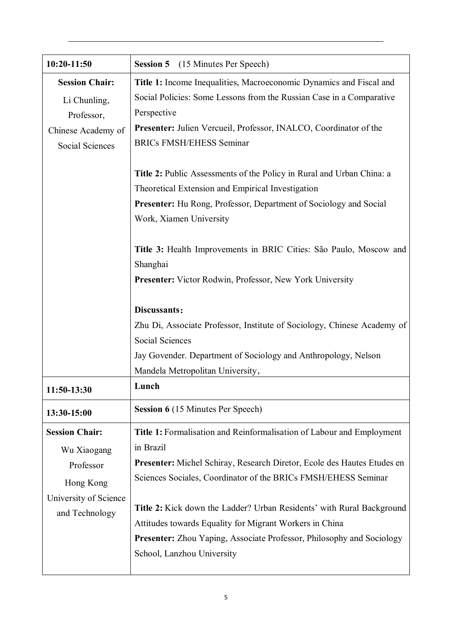| 10:20-11:50           | <b>Session 5</b> (15 Minutes Per Speech)                                     |
|-----------------------|------------------------------------------------------------------------------|
| <b>Session Chair:</b> | Title 1: Income Inequalities, Macroeconomic Dynamics and Fiscal and          |
| Li Chunling,          | Social Policies: Some Lessons from the Russian Case in a Comparative         |
| Professor,            | Perspective                                                                  |
| Chinese Academy of    | Presenter: Julien Vercueil, Professor, INALCO, Coordinator of the            |
| Social Sciences       | <b>BRICs FMSH/EHESS Seminar</b>                                              |
|                       |                                                                              |
|                       | <b>Title 2:</b> Public Assessments of the Policy in Rural and Urban China: a |
|                       | Theoretical Extension and Empirical Investigation                            |
|                       | <b>Presenter:</b> Hu Rong, Professor, Department of Sociology and Social     |
|                       | Work, Xiamen University                                                      |
|                       | Title 3: Health Improvements in BRIC Cities: São Paulo, Moscow and           |
|                       | Shanghai                                                                     |
|                       | Presenter: Victor Rodwin, Professor, New York University                     |
|                       |                                                                              |
|                       | Discussants:                                                                 |
|                       | Zhu Di, Associate Professor, Institute of Sociology, Chinese Academy of      |
|                       | Social Sciences                                                              |
|                       | Jay Govender. Department of Sociology and Anthropology, Nelson               |
|                       | Mandela Metropolitan University,                                             |
| 11:50-13:30           | Lunch                                                                        |
| 13:30-15:00           | <b>Session 6</b> (15 Minutes Per Speech)                                     |
| <b>Session Chair:</b> | Title 1: Formalisation and Reinformalisation of Labour and Employment        |
| Wu Xiaogang           | in Brazil                                                                    |
| Professor             | Presenter: Michel Schiray, Research Diretor, Ecole des Hautes Etudes en      |
| Hong Kong             | Sciences Sociales, Coordinator of the BRICs FMSH/EHESS Seminar               |
| University of Science |                                                                              |
| and Technology        | <b>Title 2:</b> Kick down the Ladder? Urban Residents' with Rural Background |
|                       | Attitudes towards Equality for Migrant Workers in China                      |
|                       | <b>Presenter:</b> Zhou Yaping, Associate Professor, Philosophy and Sociology |
|                       | School, Lanzhou University                                                   |
|                       |                                                                              |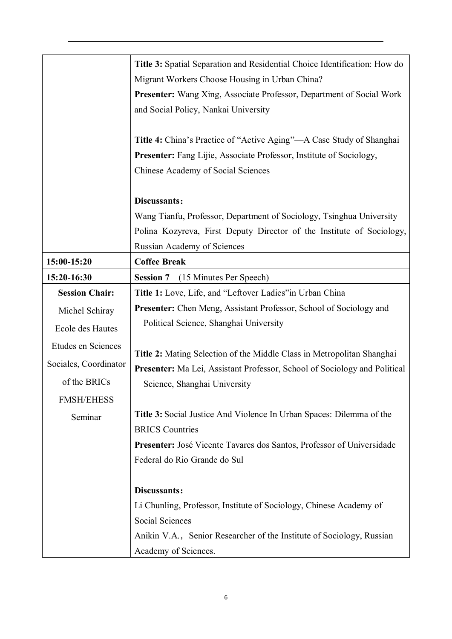|                       | Title 3: Spatial Separation and Residential Choice Identification: How do    |
|-----------------------|------------------------------------------------------------------------------|
|                       | Migrant Workers Choose Housing in Urban China?                               |
|                       | <b>Presenter:</b> Wang Xing, Associate Professor, Department of Social Work  |
|                       | and Social Policy, Nankai University                                         |
|                       | Title 4: China's Practice of "Active Aging"—A Case Study of Shanghai         |
|                       | <b>Presenter:</b> Fang Lijie, Associate Professor, Institute of Sociology,   |
|                       | Chinese Academy of Social Sciences                                           |
|                       | Discussants:                                                                 |
|                       | Wang Tianfu, Professor, Department of Sociology, Tsinghua University         |
|                       | Polina Kozyreva, First Deputy Director of the Institute of Sociology,        |
|                       | Russian Academy of Sciences                                                  |
| 15:00-15:20           | <b>Coffee Break</b>                                                          |
| 15:20-16:30           | (15 Minutes Per Speech)<br><b>Session 7</b>                                  |
| <b>Session Chair:</b> | Title 1: Love, Life, and "Leftover Ladies" in Urban China                    |
| Michel Schiray        | Presenter: Chen Meng, Assistant Professor, School of Sociology and           |
| Ecole des Hautes      | Political Science, Shanghai University                                       |
| Etudes en Sciences    | Title 2: Mating Selection of the Middle Class in Metropolitan Shanghai       |
| Sociales, Coordinator | Presenter: Ma Lei, Assistant Professor, School of Sociology and Political    |
| of the BRICs          | Science, Shanghai University                                                 |
| <b>FMSH/EHESS</b>     |                                                                              |
| Seminar               | Title 3: Social Justice And Violence In Urban Spaces: Dilemma of the         |
|                       | <b>BRICS Countries</b>                                                       |
|                       | <b>Presenter:</b> José Vicente Tavares dos Santos, Professor of Universidade |
|                       | Federal do Rio Grande do Sul                                                 |
|                       | Discussants:                                                                 |
|                       | Li Chunling, Professor, Institute of Sociology, Chinese Academy of           |
|                       | Social Sciences                                                              |
|                       | Anikin V.A., Senior Researcher of the Institute of Sociology, Russian        |
|                       | Academy of Sciences.                                                         |
|                       |                                                                              |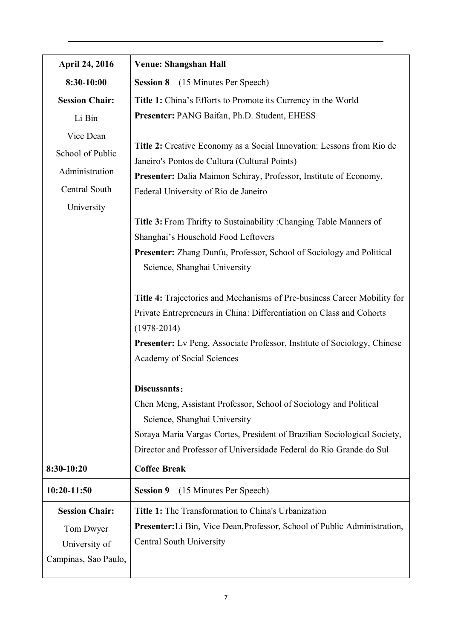| <b>April 24, 2016</b> | <b>Venue: Shangshan Hall</b>                                                                      |
|-----------------------|---------------------------------------------------------------------------------------------------|
| 8:30-10:00            | <b>Session 8</b> (15 Minutes Per Speech)                                                          |
| <b>Session Chair:</b> | Title 1: China's Efforts to Promote its Currency in the World                                     |
| Li Bin                | Presenter: PANG Baifan, Ph.D. Student, EHESS                                                      |
| Vice Dean             |                                                                                                   |
| School of Public      | <b>Title 2:</b> Creative Economy as a Social Innovation: Lessons from Rio de                      |
| Administration        | Janeiro's Pontos de Cultura (Cultural Points)                                                     |
| Central South         | Presenter: Dalia Maimon Schiray, Professor, Institute of Economy,                                 |
|                       | Federal University of Rio de Janeiro                                                              |
| University            | Title 3: From Thrifty to Sustainability : Changing Table Manners of                               |
|                       | Shanghai's Household Food Leftovers                                                               |
|                       | Presenter: Zhang Dunfu, Professor, School of Sociology and Political                              |
|                       | Science, Shanghai University                                                                      |
|                       | Title 4: Trajectories and Mechanisms of Pre-business Career Mobility for                          |
|                       | Private Entrepreneurs in China: Differentiation on Class and Cohorts                              |
|                       | $(1978 - 2014)$                                                                                   |
|                       | <b>Presenter:</b> Lv Peng, Associate Professor, Institute of Sociology, Chinese                   |
|                       | Academy of Social Sciences                                                                        |
|                       | Discussants:                                                                                      |
|                       | Chen Meng, Assistant Professor, School of Sociology and Political<br>Science, Shanghai University |
|                       | Soraya Maria Vargas Cortes, President of Brazilian Sociological Society,                          |
|                       | Director and Professor of Universidade Federal do Rio Grande do Sul                               |
| 8:30-10:20            | <b>Coffee Break</b>                                                                               |
| 10:20-11:50           | (15 Minutes Per Speech)<br><b>Session 9</b>                                                       |
| <b>Session Chair:</b> | Title 1: The Transformation to China's Urbanization                                               |
| Tom Dwyer             | Presenter: Li Bin, Vice Dean, Professor, School of Public Administration,                         |
| University of         | Central South University                                                                          |
| Campinas, Sao Paulo,  |                                                                                                   |
|                       |                                                                                                   |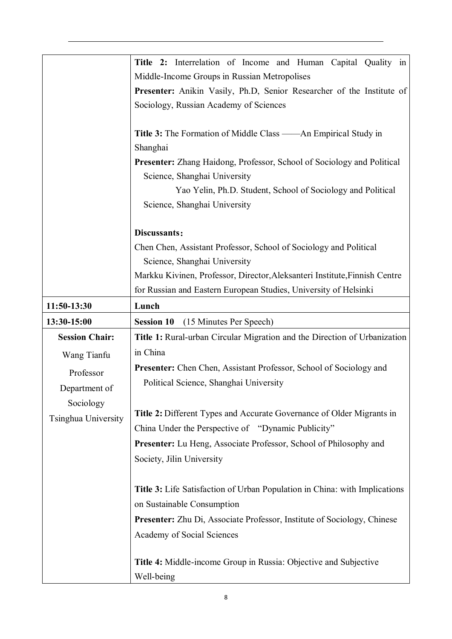|                       | Title 2: Interrelation of Income and Human Capital Quality in                                          |
|-----------------------|--------------------------------------------------------------------------------------------------------|
|                       | Middle-Income Groups in Russian Metropolises                                                           |
|                       | Presenter: Anikin Vasily, Ph.D, Senior Researcher of the Institute of                                  |
|                       | Sociology, Russian Academy of Sciences                                                                 |
|                       | Title 3: The Formation of Middle Class ——An Empirical Study in                                         |
|                       | Shanghai                                                                                               |
|                       | Presenter: Zhang Haidong, Professor, School of Sociology and Political<br>Science, Shanghai University |
|                       | Yao Yelin, Ph.D. Student, School of Sociology and Political                                            |
|                       | Science, Shanghai University                                                                           |
|                       | Discussants:                                                                                           |
|                       | Chen Chen, Assistant Professor, School of Sociology and Political                                      |
|                       | Science, Shanghai University                                                                           |
|                       | Markku Kivinen, Professor, Director, Aleksanteri Institute, Finnish Centre                             |
|                       | for Russian and Eastern European Studies, University of Helsinki                                       |
| 11:50-13:30           | Lunch                                                                                                  |
| 13:30-15:00           | <b>Session 10</b><br>(15 Minutes Per Speech)                                                           |
| <b>Session Chair:</b> | Title 1: Rural-urban Circular Migration and the Direction of Urbanization                              |
| Wang Tianfu           | in China                                                                                               |
| Professor             | Presenter: Chen Chen, Assistant Professor, School of Sociology and                                     |
| Department of         | Political Science, Shanghai University                                                                 |
| Sociology             |                                                                                                        |
| Tsinghua University   | Title 2: Different Types and Accurate Governance of Older Migrants in                                  |
|                       | China Under the Perspective of "Dynamic Publicity"                                                     |
|                       | <b>Presenter:</b> Lu Heng, Associate Professor, School of Philosophy and                               |
|                       | Society, Jilin University                                                                              |
|                       | Title 3: Life Satisfaction of Urban Population in China: with Implications                             |
|                       | on Sustainable Consumption                                                                             |
|                       | <b>Presenter:</b> Zhu Di, Associate Professor, Institute of Sociology, Chinese                         |
|                       | Academy of Social Sciences                                                                             |
|                       | <b>Title 4:</b> Middle-income Group in Russia: Objective and Subjective                                |
|                       | Well-being                                                                                             |